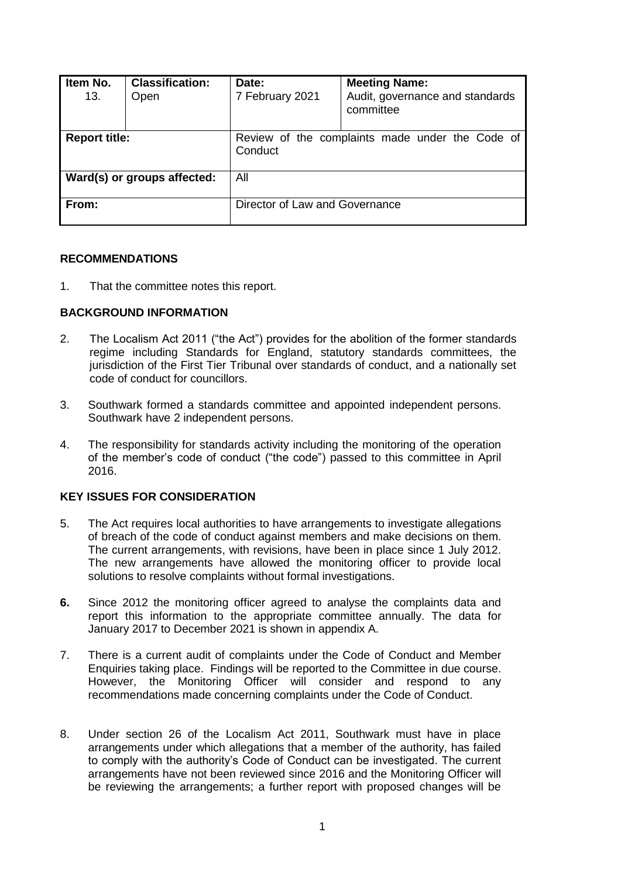| Item No.<br>13.             | <b>Classification:</b><br>Open | Date:<br>7 February 2021                                   | <b>Meeting Name:</b><br>Audit, governance and standards<br>committee |  |
|-----------------------------|--------------------------------|------------------------------------------------------------|----------------------------------------------------------------------|--|
| <b>Report title:</b>        |                                | Review of the complaints made under the Code of<br>Conduct |                                                                      |  |
| Ward(s) or groups affected: |                                | All                                                        |                                                                      |  |
| From:                       |                                | Director of Law and Governance                             |                                                                      |  |

#### **RECOMMENDATIONS**

1. That the committee notes this report.

# **BACKGROUND INFORMATION**

- 2. The Localism Act 2011 ("the Act") provides for the abolition of the former standards regime including Standards for England, statutory standards committees, the jurisdiction of the First Tier Tribunal over standards of conduct, and a nationally set code of conduct for councillors.
- 3. Southwark formed a standards committee and appointed independent persons. Southwark have 2 independent persons.
- 4. The responsibility for standards activity including the monitoring of the operation of the member's code of conduct ("the code") passed to this committee in April 2016.

# **KEY ISSUES FOR CONSIDERATION**

- 5. The Act requires local authorities to have arrangements to investigate allegations of breach of the code of conduct against members and make decisions on them. The current arrangements, with revisions, have been in place since 1 July 2012. The new arrangements have allowed the monitoring officer to provide local solutions to resolve complaints without formal investigations.
- **6.** Since 2012 the monitoring officer agreed to analyse the complaints data and report this information to the appropriate committee annually. The data for January 2017 to December 2021 is shown in appendix A.
- 7. There is a current audit of complaints under the Code of Conduct and Member Enquiries taking place. Findings will be reported to the Committee in due course. However, the Monitoring Officer will consider and respond to any recommendations made concerning complaints under the Code of Conduct.
- 8. Under section 26 of the Localism Act 2011, Southwark must have in place arrangements under which allegations that a member of the authority, has failed to comply with the authority's Code of Conduct can be investigated. The current arrangements have not been reviewed since 2016 and the Monitoring Officer will be reviewing the arrangements; a further report with proposed changes will be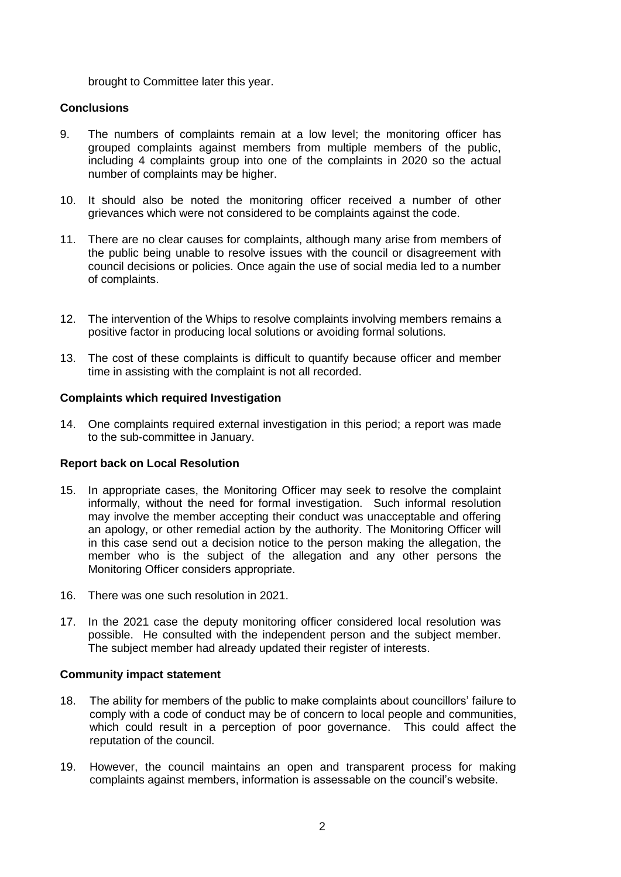brought to Committee later this year.

# **Conclusions**

- 9. The numbers of complaints remain at a low level; the monitoring officer has grouped complaints against members from multiple members of the public, including 4 complaints group into one of the complaints in 2020 so the actual number of complaints may be higher.
- 10. It should also be noted the monitoring officer received a number of other grievances which were not considered to be complaints against the code.
- 11. There are no clear causes for complaints, although many arise from members of the public being unable to resolve issues with the council or disagreement with council decisions or policies. Once again the use of social media led to a number of complaints.
- 12. The intervention of the Whips to resolve complaints involving members remains a positive factor in producing local solutions or avoiding formal solutions.
- 13. The cost of these complaints is difficult to quantify because officer and member time in assisting with the complaint is not all recorded.

# **Complaints which required Investigation**

14. One complaints required external investigation in this period; a report was made to the sub-committee in January.

# **Report back on Local Resolution**

- 15. In appropriate cases, the Monitoring Officer may seek to resolve the complaint informally, without the need for formal investigation. Such informal resolution may involve the member accepting their conduct was unacceptable and offering an apology, or other remedial action by the authority. The Monitoring Officer will in this case send out a decision notice to the person making the allegation, the member who is the subject of the allegation and any other persons the Monitoring Officer considers appropriate.
- 16. There was one such resolution in 2021.
- 17. In the 2021 case the deputy monitoring officer considered local resolution was possible. He consulted with the independent person and the subject member. The subject member had already updated their register of interests.

#### **Community impact statement**

- 18. The ability for members of the public to make complaints about councillors' failure to comply with a code of conduct may be of concern to local people and communities, which could result in a perception of poor governance. This could affect the reputation of the council.
- 19. However, the council maintains an open and transparent process for making complaints against members, information is assessable on the council's website.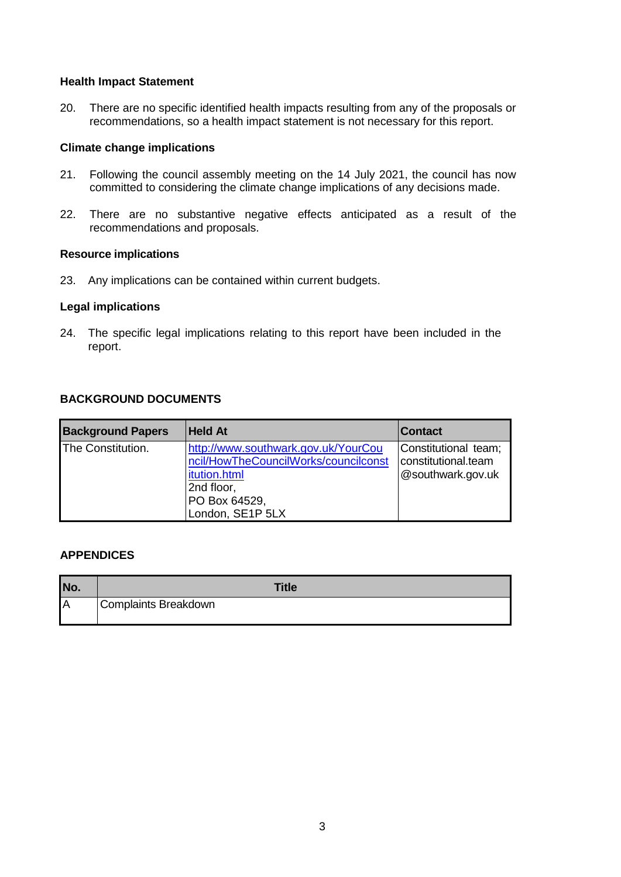#### **Health Impact Statement**

20. There are no specific identified health impacts resulting from any of the proposals or recommendations, so a health impact statement is not necessary for this report.

#### **Climate change implications**

- 21. Following the council assembly meeting on the 14 July 2021, the council has now committed to considering the climate change implications of any decisions made.
- 22. There are no substantive negative effects anticipated as a result of the recommendations and proposals.

#### **Resource implications**

23. Any implications can be contained within current budgets.

#### **Legal implications**

24. The specific legal implications relating to this report have been included in the report.

# **BACKGROUND DOCUMENTS**

| <b>Background Papers</b> | <b>Held At</b>                                                              | <b>Contact</b>                              |  |
|--------------------------|-----------------------------------------------------------------------------|---------------------------------------------|--|
| The Constitution.        | http://www.southwark.gov.uk/YourCou<br>ncil/HowTheCouncilWorks/councilconst | Constitutional team;<br>constitutional.team |  |
|                          | itution.html                                                                | @southwark.gov.uk                           |  |
|                          | 2nd floor,                                                                  |                                             |  |
|                          | PO Box 64529,                                                               |                                             |  |
|                          | London, SE1P 5LX                                                            |                                             |  |

# **APPENDICES**

| No. | <b>Title</b>         |
|-----|----------------------|
| IΑ  | Complaints Breakdown |